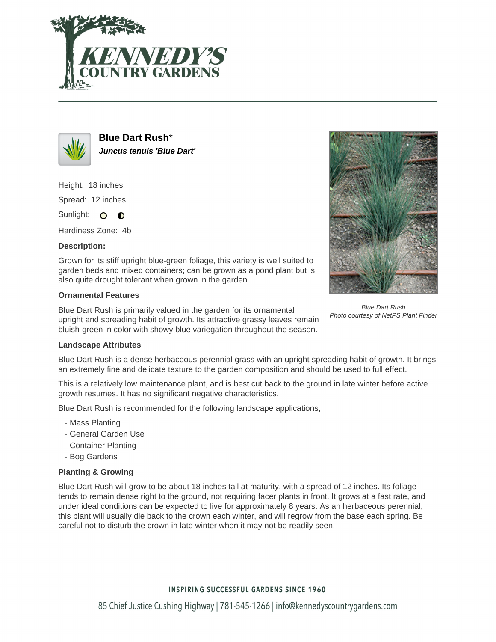



**Blue Dart Rush**\* **Juncus tenuis 'Blue Dart'**

Height: 18 inches Spread: 12 inches

Sunlight: O **O** 

Hardiness Zone: 4b

# **Description:**

Grown for its stiff upright blue-green foliage, this variety is well suited to garden beds and mixed containers; can be grown as a pond plant but is also quite drought tolerant when grown in the garden

## **Ornamental Features**

Blue Dart Rush is primarily valued in the garden for its ornamental upright and spreading habit of growth. Its attractive grassy leaves remain bluish-green in color with showy blue variegation throughout the season.



Blue Dart Rush Photo courtesy of NetPS Plant Finder

### **Landscape Attributes**

Blue Dart Rush is a dense herbaceous perennial grass with an upright spreading habit of growth. It brings an extremely fine and delicate texture to the garden composition and should be used to full effect.

This is a relatively low maintenance plant, and is best cut back to the ground in late winter before active growth resumes. It has no significant negative characteristics.

Blue Dart Rush is recommended for the following landscape applications;

- Mass Planting
- General Garden Use
- Container Planting
- Bog Gardens

# **Planting & Growing**

Blue Dart Rush will grow to be about 18 inches tall at maturity, with a spread of 12 inches. Its foliage tends to remain dense right to the ground, not requiring facer plants in front. It grows at a fast rate, and under ideal conditions can be expected to live for approximately 8 years. As an herbaceous perennial, this plant will usually die back to the crown each winter, and will regrow from the base each spring. Be careful not to disturb the crown in late winter when it may not be readily seen!

# **INSPIRING SUCCESSFUL GARDENS SINCE 1960**